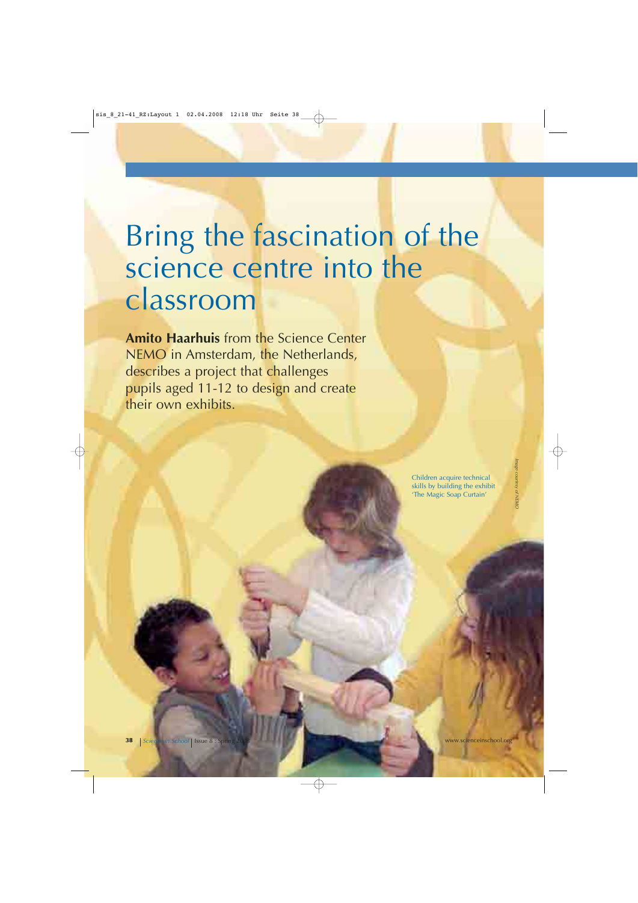# Bring the fascination of the science centre into the classroom

**Amito Haarhuis** from the Science Center NEMO in Amsterdam, the Netherlands, describes a project that challenges pupils aged 11-12 to design and create their own exhibits.

> Children acquire technical skills by building the exhibit 'The Magic Soap Curtain'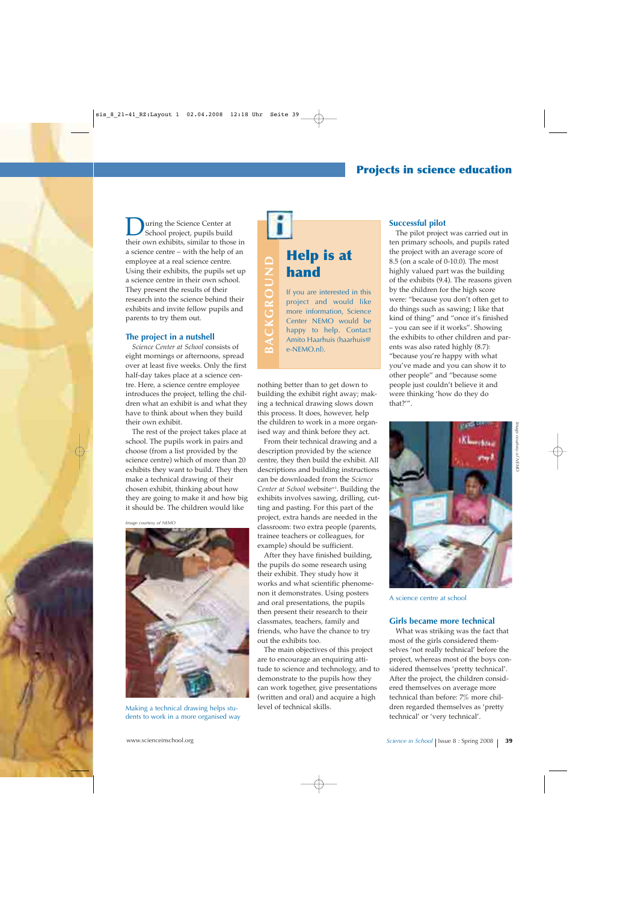## **Projects in science education**

**D**uring the Science Center at<br>School project, pupils build<br>their own orbibits, similar to these their own exhibits, similar to those in a science centre – with the help of an employee at a real science centre. Using their exhibits, the pupils set up a science centre in their own school. They present the results of their research into the science behind their exhibits and invite fellow pupils and parents to try them out.

#### **The project in a nutshell**

*Science Center at School* consists of eight mornings or afternoons, spread over at least five weeks. Only the first half-day takes place at a science centre. Here, a science centre employee introduces the project, telling the children what an exhibit is and what they have to think about when they build their own exhibit.

The rest of the project takes place at school. The pupils work in pairs and choose (from a list provided by the science centre) which of more than 20 exhibits they want to build. They then make a technical drawing of their chosen exhibit, thinking about how they are going to make it and how big it should be. The children would like

*Image courtesy of NEMO*



Making a technical drawing helps students to work in a more organised way

# **Help is at** BACKGROUND **BACKGROUND hand** If you are interested in this project and would like more information, Science Center NEMO would be happy to help. Contact

nothing better than to get down to building the exhibit right away; making a technical drawing slows down this process. It does, however, help the children to work in a more organised way and think before they act.

e-NEMO.nl).

Amito Haarhuis (haarhuis@

From their technical drawing and a description provided by the science centre, they then build the exhibit. All descriptions and building instructions can be downloaded from the *Science Center at School* websitew1. Building the exhibits involves sawing, drilling, cutting and pasting. For this part of the project, extra hands are needed in the classroom: two extra people (parents, trainee teachers or colleagues, for example) should be sufficient.

After they have finished building, the pupils do some research using their exhibit. They study how it works and what scientific phenomenon it demonstrates. Using posters and oral presentations, the pupils then present their research to their classmates, teachers, family and friends, who have the chance to try out the exhibits too.

The main objectives of this project are to encourage an enquiring attitude to science and technology, and to demonstrate to the pupils how they can work together, give presentations (written and oral) and acquire a high level of technical skills.

#### **Successful pilot**

The pilot project was carried out in ten primary schools, and pupils rated the project with an average score of 8.5 (on a scale of 0-10.0). The most highly valued part was the building of the exhibits (9.4). The reasons given by the children for the high score were: "because you don't often get to do things such as sawing; I like that kind of thing" and "once it's finished – you can see if it works". Showing the exhibits to other children and parents was also rated highly (8.7): "because you're happy with what you've made and you can show it to other people" and "because some people just couldn't believe it and were thinking 'how do they do that?'".



A science centre at school

#### **Girls became more technical**

What was striking was the fact that most of the girls considered themselves 'not really technical' before the project, whereas most of the boys considered themselves 'pretty technical'. After the project, the children considered themselves on average more technical than before: 7% more children regarded themselves as 'pretty technical' or 'very technical'.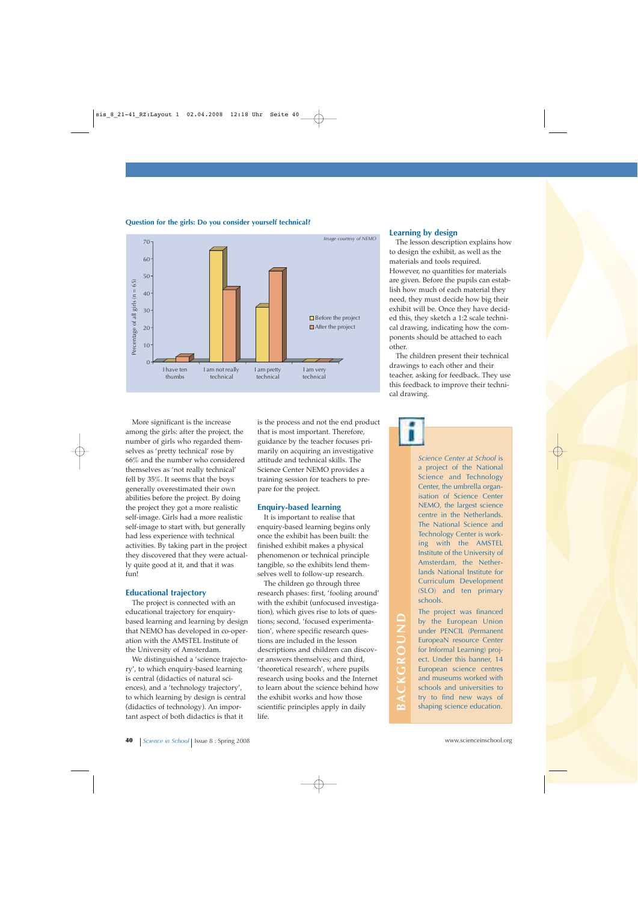

#### **Question for the girls: Do you consider yourself technical?**

More significant is the increase among the girls: after the project, the number of girls who regarded themselves as 'pretty technical' rose by 66% and the number who considered themselves as 'not really technical' fell by 35%. It seems that the boys generally overestimated their own abilities before the project. By doing the project they got a more realistic self-image. Girls had a more realistic self-image to start with, but generally had less experience with technical activities. By taking part in the project they discovered that they were actually quite good at it, and that it was fun!

#### **Educational trajectory**

The project is connected with an educational trajectory for enquirybased learning and learning by design that NEMO has developed in co-operation with the AMSTEL Institute of the University of Amsterdam.

We distinguished a 'science trajectory', to which enquiry-based learning is central (didactics of natural sciences), and a 'technology trajectory', to which learning by design is central (didactics of technology). An important aspect of both didactics is that it

is the process and not the end product that is most important. Therefore, guidance by the teacher focuses primarily on acquiring an investigative attitude and technical skills. The Science Center NEMO provides a training session for teachers to prepare for the project.

#### **Enquiry-based learning**

It is important to realise that enquiry-based learning begins only once the exhibit has been built: the finished exhibit makes a physical phenomenon or technical principle tangible, so the exhibits lend themselves well to follow-up research.

The children go through three research phases: first, 'fooling around' with the exhibit (unfocused investigation), which gives rise to lots of questions; second, 'focused experimentation', where specific research questions are included in the lesson descriptions and children can discover answers themselves; and third, 'theoretical research', where pupils research using books and the Internet to learn about the science behind how the exhibit works and how those scientific principles apply in daily life.

#### **Learning by design**

The lesson description explains how to design the exhibit, as well as the materials and tools required. However, no quantities for materials are given. Before the pupils can establish how much of each material they need, they must decide how big their exhibit will be. Once they have decided this, they sketch a 1:2 scale technical drawing, indicating how the components should be attached to each other.

The children present their technical drawings to each other and their teacher, asking for feedback. They use this feedback to improve their technical drawing.

> *Science Center at School* is a project of the National Science and Technology Center, the umbrella organisation of Science Center NEMO, the largest science centre in the Netherlands. The National Science and Technology Center is working with the AMSTEL Institute of the University of Amsterdam, the Netherlands National Institute for Curriculum Development (SLO) and ten primary schools.

The project was financed by the European Union under PENCIL (Permanent EuropeaN resource Center for Informal Learning) project. Under this banner, 14 European science centres and museums worked with schools and universities to try to find new ways of shaping science education.

**BACKGROUND**

BACKGROUND